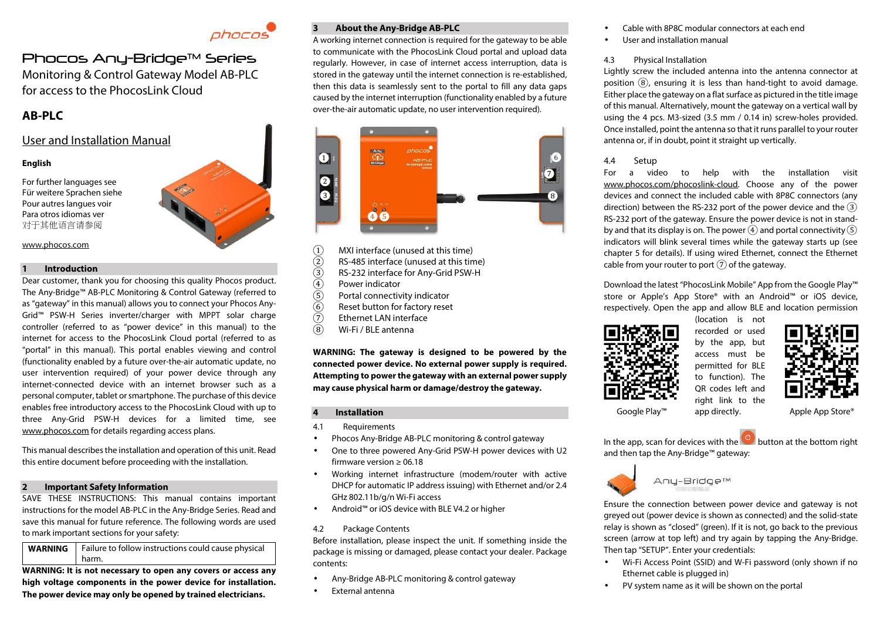

# Phocos Anu-Bridge™ Series Monitoring & Control Gateway Model AB-PLC for access to the PhocosLink Cloud

# **AB-PLC**

# User and Installation Manual

## **English**

For further languages see Für weitere Sprachen siehe Pour autres langues voir Para otros idiomas ver 对于其他语言请参阅



# www.phocos.com **1 Introduction**

Dear customer, thank you for choosing this quality Phocos product. The Any-Bridge™ AB-PLC Monitoring & Control Gateway (referred to as "gateway" in this manual) allows you to connect your Phocos Any-Grid™ PSW-H Series inverter/charger with MPPT solar charge controller (referred to as "power device" in this manual) to the internet for access to the PhocosLink Cloud portal (referred to as "portal" in this manual). This portal enables viewing and control (functionality enabled by a future over-the-air automatic update, no user intervention required) of your power device through any internet-connected device with an internet browser such as a personal computer, tablet or smartphone. The purchase of this device enables free introductory access to the PhocosLink Cloud with up to three Any-Grid PSW-H devices for a limited time, see www.phocos.com for details regarding access plans.

This manual describes the installation and operation of this unit. Read this entire document before proceeding with the installation.

#### **2 Important Safety Information**

SAVE THESE INSTRUCTIONS: This manual contains important instructions for the model AB-PLC in the Any-Bridge Series. Read and save this manual for future reference. The following words are used to mark important sections for your safety:

**WARNING** Failure to follow instructions could cause physical harm.

**WARNING: It is not necessary to open any covers or access any high voltage components in the power device for installation. The power device may only be opened by trained electricians.** 

## **3 About the Any-Bridge AB-PLC**

A working internet connection is required for the gateway to be able to communicate with the PhocosLink Cloud portal and upload data regularly. However, in case of internet access interruption, data is stored in the gateway until the internet connection is re-established, then this data is seamlessly sent to the portal to fill any data gaps caused by the internet interruption (functionality enabled by a future over-the-air automatic update, no user intervention required).



- 
- (1) MXI interface (unused at this time)<br>
(2) RS-485 interface (unused at this tir<br>
(3) RS-232 interface for Any-Grid PSW-<br>
Power indicator<br>
(5) Portal connectivity indicator<br>
(6) Reset button for factory reset<br>
(7) Ethern RS-485 interface (unused at this time)
- RS-232 interface for Any-Grid PSW-H
- Power indicator
- Portal connectivity indicator
- Reset button for factory reset
- $\begin{array}{cc} \textcircled{7} & \text{Ethernet LAN interface} \\ \textcircled{8} & \text{Wi-Fi / BI F antenna} \end{array}$
- Wi-Fi / BLE antenna

**WARNING: The gateway is designed to be powered by the connected power device. No external power supply is required. Attempting to power the gateway with an external power supply may cause physical harm or damage/destroy the gateway.**

#### **4 Installation**

- 4.1 Requirements
- Phocos Any-Bridge AB-PLC monitoring & control gateway
- One to three powered Any-Grid PSW-H power devices with U2 firmware version  $\geq 06.18$
- Working internet infrastructure (modem/router with active DHCP for automatic IP address issuing) with Ethernet and/or 2.4 GHz 802.11b/g/n Wi-Fi access
- Android™ or iOS device with BLE V4.2 or higher
- 4.2 Package Contents

Before installation, please inspect the unit. If something inside the package is missing or damaged, please contact your dealer. Package contents:

- Any-Bridge AB-PLC monitoring & control gateway
- External antenna
- Cable with 8P8C modular connectors at each end
- User and installation manual

### 4.3 Physical Installation

Lightly screw the included antenna into the antenna connector at position  $\Omega$ , ensuring it is less than hand-tight to avoid damage. Either place the gateway on a flat surface as pictured in the title image of this manual. Alternatively, mount the gateway on a vertical wall by using the 4 pcs. M3-sized (3.5 mm / 0.14 in) screw-holes provided. Once installed, point the antenna so that it runs parallel to your router antenna or, if in doubt, point it straight up vertically.

## 4.4 Setup

For a video to help with the installation visit www.phocos.com/phocoslink-cloud. Choose any of the power devices and connect the included cable with 8P8C connectors (any direction) between the RS-232 port of the power device and the  $\overline{3}$ RS-232 port of the gateway. Ensure the power device is not in standby and that its display is on. The power  $\left(4\right)$  and portal connectivity  $\left(5\right)$ indicators will blink several times while the gateway starts up (see chapter 5 for details). If using wired Ethernet, connect the Ethernet cable from your router to port  $(7)$  of the gateway.

Download the latest "PhocosLink Mobile" App from the Google Play™ store or Apple's App Store® with an Android™ or iOS device, respectively. Open the app and allow BLE and location permission



(location is not recorded or used by the app, but access must be permitted for BLE to function). The QR codes left and right link to the



In the app, scan for devices with the button at the bottom right and then tap the Any-Bridge™ gateway:



Anu-Bridge™

Ensure the connection between power device and gateway is not greyed out (power device is shown as connected) and the solid-state relay is shown as "closed" (green). If it is not, go back to the previous screen (arrow at top left) and try again by tapping the Any-Bridge. Then tap "SETUP". Enter your credentials:

- Wi-Fi Access Point (SSID) and W-Fi password (only shown if no Ethernet cable is plugged in)
- PV system name as it will be shown on the portal

app directly. Google Play™ app directly. Apple App Store®